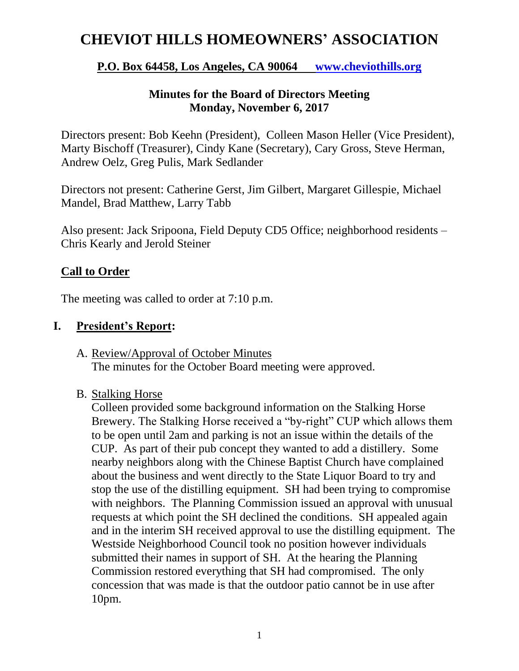# **CHEVIOT HILLS HOMEOWNERS' ASSOCIATION**

# **P.O. Box 64458, Los Angeles, CA 90064 [www.cheviothills.org](http://www.cheviothills.org/)**

### **Minutes for the Board of Directors Meeting Monday, November 6, 2017**

Directors present: Bob Keehn (President), Colleen Mason Heller (Vice President), Marty Bischoff (Treasurer), Cindy Kane (Secretary), Cary Gross, Steve Herman, Andrew Oelz, Greg Pulis, Mark Sedlander

Directors not present: Catherine Gerst, Jim Gilbert, Margaret Gillespie, Michael Mandel, Brad Matthew, Larry Tabb

Also present: Jack Sripoona, Field Deputy CD5 Office; neighborhood residents – Chris Kearly and Jerold Steiner

### **Call to Order**

The meeting was called to order at 7:10 p.m.

### **I. President's Report:**

- A. Review/Approval of October Minutes The minutes for the October Board meeting were approved.
- B. Stalking Horse

Colleen provided some background information on the Stalking Horse Brewery. The Stalking Horse received a "by-right" CUP which allows them to be open until 2am and parking is not an issue within the details of the CUP. As part of their pub concept they wanted to add a distillery. Some nearby neighbors along with the Chinese Baptist Church have complained about the business and went directly to the State Liquor Board to try and stop the use of the distilling equipment. SH had been trying to compromise with neighbors. The Planning Commission issued an approval with unusual requests at which point the SH declined the conditions. SH appealed again and in the interim SH received approval to use the distilling equipment. The Westside Neighborhood Council took no position however individuals submitted their names in support of SH. At the hearing the Planning Commission restored everything that SH had compromised. The only concession that was made is that the outdoor patio cannot be in use after 10pm.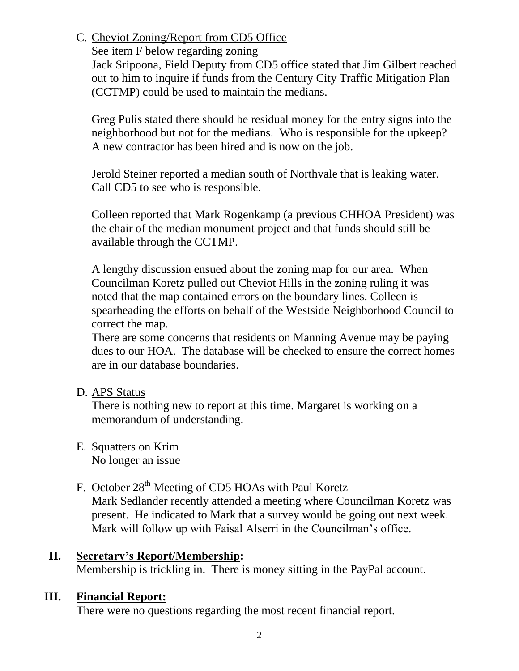# C. Cheviot Zoning/Report from CD5 Office

See item F below regarding zoning

Jack Sripoona, Field Deputy from CD5 office stated that Jim Gilbert reached out to him to inquire if funds from the Century City Traffic Mitigation Plan (CCTMP) could be used to maintain the medians.

Greg Pulis stated there should be residual money for the entry signs into the neighborhood but not for the medians. Who is responsible for the upkeep? A new contractor has been hired and is now on the job.

Jerold Steiner reported a median south of Northvale that is leaking water. Call CD5 to see who is responsible.

Colleen reported that Mark Rogenkamp (a previous CHHOA President) was the chair of the median monument project and that funds should still be available through the CCTMP.

A lengthy discussion ensued about the zoning map for our area. When Councilman Koretz pulled out Cheviot Hills in the zoning ruling it was noted that the map contained errors on the boundary lines. Colleen is spearheading the efforts on behalf of the Westside Neighborhood Council to correct the map.

There are some concerns that residents on Manning Avenue may be paying dues to our HOA. The database will be checked to ensure the correct homes are in our database boundaries.

D. APS Status

There is nothing new to report at this time. Margaret is working on a memorandum of understanding.

E. Squatters on Krim No longer an issue

# F. October 28<sup>th</sup> Meeting of CD5 HOAs with Paul Koretz

Mark Sedlander recently attended a meeting where Councilman Koretz was present. He indicated to Mark that a survey would be going out next week. Mark will follow up with Faisal Alserri in the Councilman's office.

# **II. Secretary's Report/Membership:**

Membership is trickling in. There is money sitting in the PayPal account.

# **III. Financial Report:**

There were no questions regarding the most recent financial report.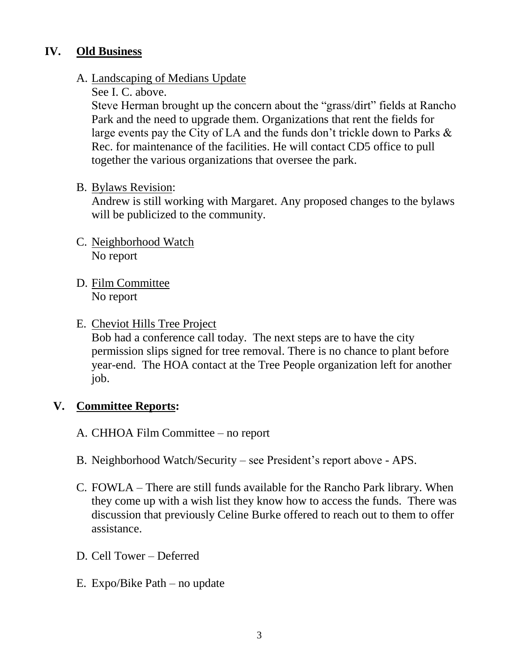### **IV. Old Business**

### A. Landscaping of Medians Update

### See I. C. above.

Steve Herman brought up the concern about the "grass/dirt" fields at Rancho Park and the need to upgrade them. Organizations that rent the fields for large events pay the City of LA and the funds don't trickle down to Parks & Rec. for maintenance of the facilities. He will contact CD5 office to pull together the various organizations that oversee the park.

#### B. Bylaws Revision:

Andrew is still working with Margaret. Any proposed changes to the bylaws will be publicized to the community.

- C. Neighborhood Watch No report
- D. Film Committee No report

### E. Cheviot Hills Tree Project

Bob had a conference call today. The next steps are to have the city permission slips signed for tree removal. There is no chance to plant before year-end. The HOA contact at the Tree People organization left for another job.

### **V. Committee Reports:**

- A. CHHOA Film Committee no report
- B. Neighborhood Watch/Security see President's report above APS.
- C. FOWLA There are still funds available for the Rancho Park library. When they come up with a wish list they know how to access the funds. There was discussion that previously Celine Burke offered to reach out to them to offer assistance.
- D. Cell Tower Deferred
- E. Expo/Bike Path no update